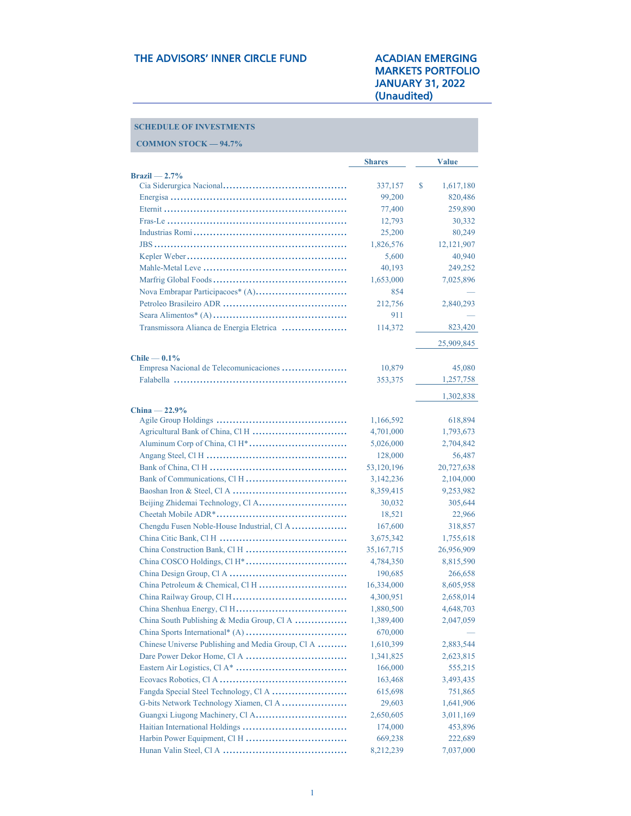## MARKETS PORTFOLIO JANUARY 31, 2022 (Unaudited)

### **SCHEDULE OF INVESTMENTS**

| <b>COMMON STOCK - 94.7%</b>                               |               |                 |
|-----------------------------------------------------------|---------------|-----------------|
|                                                           | <b>Shares</b> | <b>Value</b>    |
| $Brazil = 2.7%$                                           |               |                 |
|                                                           | 337,157       | \$<br>1,617,180 |
|                                                           | 99,200        | 820,486         |
|                                                           | 77,400        | 259,890         |
|                                                           | 12,793        | 30,332          |
|                                                           | 25,200        | 80,249          |
|                                                           | 1,826,576     | 12,121,907      |
|                                                           | 5,600         | 40,940          |
|                                                           | 40,193        | 249,252         |
|                                                           | 1,653,000     | 7,025,896       |
|                                                           | 854           |                 |
|                                                           | 212,756       | 2,840,293       |
|                                                           | 911           |                 |
| Transmissora Alianca de Energia Eletrica                  | 114,372       | 823,420         |
|                                                           |               | 25,909,845      |
| $Chile - 0.1\%$<br>Empresa Nacional de Telecomunicaciones | 10,879        | 45,080          |
|                                                           | 353,375       | 1,257,758       |
|                                                           |               |                 |
|                                                           |               | 1,302,838       |
| $China - 22.9\%$                                          | 1,166,592     | 618,894         |
|                                                           | 4,701,000     | 1,793,673       |
|                                                           | 5,026,000     | 2,704,842       |
|                                                           | 128,000       | 56,487          |
|                                                           | 53,120,196    | 20,727,638      |
|                                                           | 3,142,236     | 2,104,000       |
|                                                           | 8,359,415     | 9,253,982       |
|                                                           | 30,032        | 305,644         |
|                                                           | 18,521        | 22,966          |
| Chengdu Fusen Noble-House Industrial, Cl A                | 167,600       | 318,857         |
|                                                           | 3,675,342     | 1,755,618       |
|                                                           | 35, 167, 715  | 26,956,909      |
|                                                           | 4,784,350     | 8,815,590       |
|                                                           | 190,685       | 266,658         |
|                                                           | 16,334,000    | 8,605,958       |
|                                                           | 4,300,951     | 2,658,014       |
|                                                           | 1,880,500     | 4,648,703       |
| China South Publishing & Media Group, Cl A                | 1,389,400     | 2,047,059       |
|                                                           | 670,000       |                 |
| Chinese Universe Publishing and Media Group, Cl A         | 1,610,399     | 2,883,544       |
|                                                           | 1,341,825     | 2,623,815       |
|                                                           | 166,000       | 555,215         |
|                                                           | 163,468       | 3,493,435       |
|                                                           | 615,698       | 751,865         |
| G-bits Network Technology Xiamen, Cl A                    | 29,603        | 1,641,906       |
|                                                           | 2,650,605     | 3,011,169       |
|                                                           | 174,000       | 453,896         |
|                                                           | 669,238       | 222,689         |
|                                                           | 8,212,239     | 7,037,000       |
|                                                           |               |                 |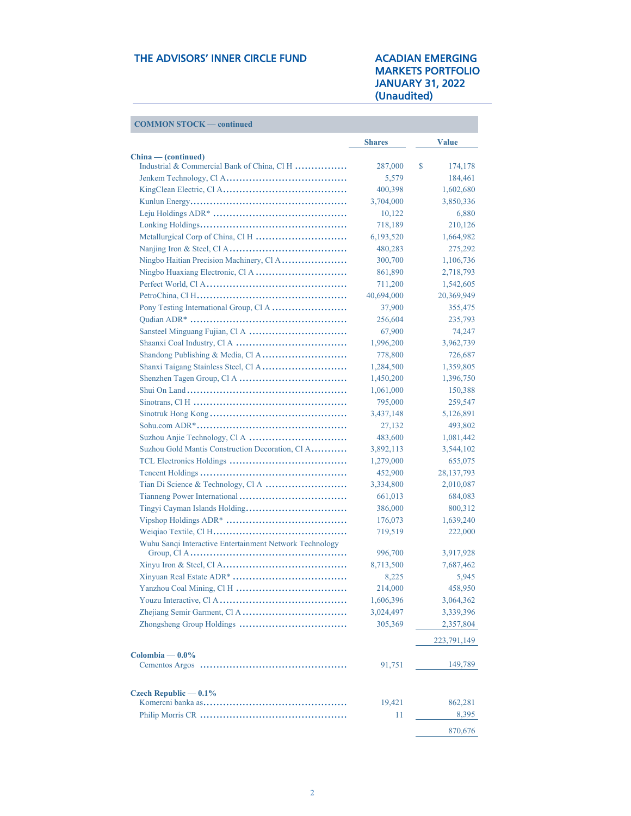| <b>COMMON STOCK — continued</b>                         |               |               |
|---------------------------------------------------------|---------------|---------------|
|                                                         | <b>Shares</b> | <b>Value</b>  |
| China — (continued)                                     |               |               |
| Industrial & Commercial Bank of China, Cl H             | 287,000       | \$<br>174,178 |
|                                                         | 5,579         | 184,461       |
|                                                         | 400,398       | 1,602,680     |
|                                                         | 3,704,000     | 3,850,336     |
|                                                         | 10,122        | 6,880         |
|                                                         | 718,189       | 210,126       |
|                                                         | 6,193,520     | 1,664,982     |
|                                                         | 480,283       | 275,292       |
| Ningbo Haitian Precision Machinery, Cl A                | 300,700       | 1,106,736     |
|                                                         | 861,890       | 2,718,793     |
|                                                         | 711,200       | 1,542,605     |
|                                                         | 40,694,000    | 20,369,949    |
|                                                         | 37,900        | 355,475       |
|                                                         | 256,604       | 235,793       |
|                                                         | 67,900        | 74,247        |
|                                                         | 1,996,200     | 3,962,739     |
|                                                         | 778,800       | 726,687       |
|                                                         | 1,284,500     | 1,359,805     |
|                                                         | 1,450,200     | 1,396,750     |
|                                                         | 1,061,000     | 150,388       |
|                                                         | 795,000       | 259,547       |
|                                                         | 3,437,148     | 5,126,891     |
|                                                         | 27,132        | 493,802       |
|                                                         | 483,600       | 1,081,442     |
| Suzhou Gold Mantis Construction Decoration, Cl A        | 3,892,113     | 3,544,102     |
|                                                         | 1,279,000     | 655,075       |
|                                                         | 452,900       | 28, 137, 793  |
|                                                         | 3,334,800     | 2,010,087     |
|                                                         | 661,013       | 684,083       |
|                                                         | 386,000       | 800,312       |
|                                                         | 176,073       | 1,639,240     |
|                                                         | 719,519       | 222,000       |
| Wuhu Sanqi Interactive Entertainment Network Technology |               |               |
|                                                         | 996,700       | 3,917,928     |
|                                                         | 8,713,500     | 7,687,462     |
|                                                         | 8,225         | 5,945         |
|                                                         | 214,000       | 458,950       |
|                                                         | 1,606,396     | 3,064,362     |
|                                                         | 3,024,497     | 3,339,396     |
|                                                         | 305,369       | 2,357,804     |
|                                                         |               | 223, 791, 149 |
| Colombia — $0.0\%$                                      | 91,751        | 149,789       |
|                                                         |               |               |
| Czech Republic $-0.1\%$                                 | 19,421        | 862,281       |
|                                                         | 11            | 8,395         |
|                                                         |               |               |
|                                                         |               | 870,676       |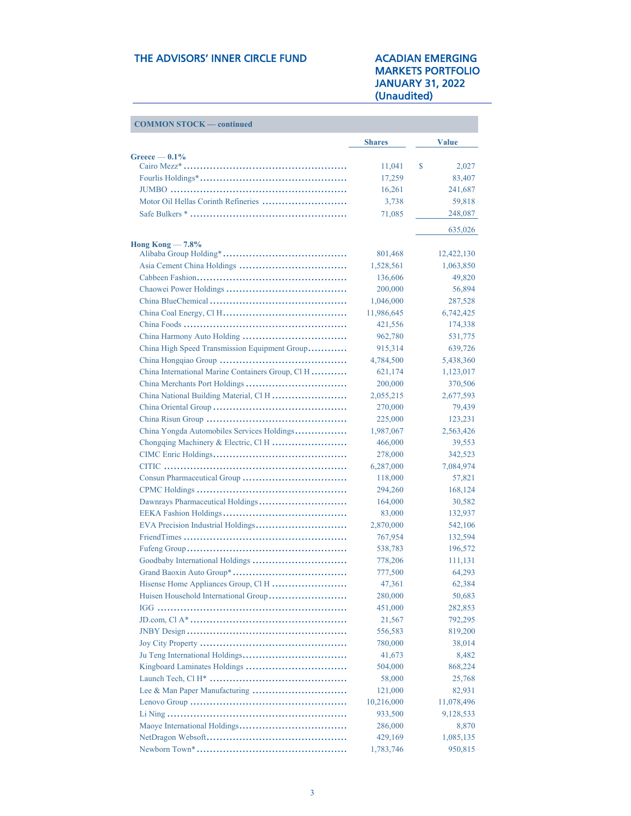| <b>COMMON STOCK — continued</b>                   |                   |                    |
|---------------------------------------------------|-------------------|--------------------|
|                                                   | <b>Shares</b>     | <b>Value</b>       |
| $G$ reece $-0.1\%$                                |                   |                    |
|                                                   | 11,041            | \$<br>2,027        |
|                                                   | 17,259            | 83,407             |
|                                                   | 16,261            | 241,687            |
| Motor Oil Hellas Corinth Refineries               | 3,738             | 59,818             |
|                                                   | 71,085            | 248,087            |
| Hong Kong $-7.8\%$                                |                   | 635,026            |
|                                                   | 801,468           | 12,422,130         |
|                                                   | 1,528,561         | 1,063,850          |
|                                                   | 136,606           | 49,820             |
|                                                   | 200,000           | 56,894             |
|                                                   | 1,046,000         | 287,528            |
|                                                   | 11,986,645        | 6,742,425          |
|                                                   | 421,556           | 174,338            |
|                                                   | 962,780           | 531,775            |
| China High Speed Transmission Equipment Group     | 915,314           | 639,726            |
|                                                   | 4,784,500         | 5,438,360          |
| China International Marine Containers Group, Cl H | 621,174           | 1,123,017          |
|                                                   | 200,000           | 370,506            |
|                                                   | 2,055,215         | 2,677,593          |
|                                                   | 270,000           | 79,439             |
|                                                   | 225,000           | 123,231            |
| China Yongda Automobiles Services Holdings        | 1,987,067         | 2,563,426          |
|                                                   |                   |                    |
|                                                   | 466,000           | 39,553<br>342,523  |
|                                                   | 278,000           |                    |
|                                                   | 6,287,000         | 7,084,974          |
|                                                   | 118,000           | 57,821             |
|                                                   | 294,260           | 168,124            |
|                                                   | 164,000           | 30,582             |
|                                                   | 83,000            | 132,937<br>542,106 |
|                                                   | 2,870,000         |                    |
|                                                   | 767,954           | 132,594            |
|                                                   | 538,783           | 196,572            |
|                                                   | 778,206           | 111,131            |
| Hisense Home Appliances Group, Cl H               | 777,500<br>47,361 | 64,293             |
|                                                   |                   | 62,384             |
|                                                   | 280,000           | 50,683             |
|                                                   | 451,000           | 282,853            |
|                                                   | 21,567            | 792,295            |
|                                                   | 556,583           | 819,200            |
|                                                   | 780,000           | 38,014             |
|                                                   | 41,673            | 8,482              |
|                                                   | 504,000           | 868,224            |
|                                                   | 58,000            | 25,768             |
|                                                   | 121,000           | 82,931             |
|                                                   | 10,216,000        | 11,078,496         |
|                                                   | 933,500           | 9,128,533          |
|                                                   | 286,000           | 8,870              |
|                                                   | 429,169           | 1,085,135          |
|                                                   | 1,783,746         | 950,815            |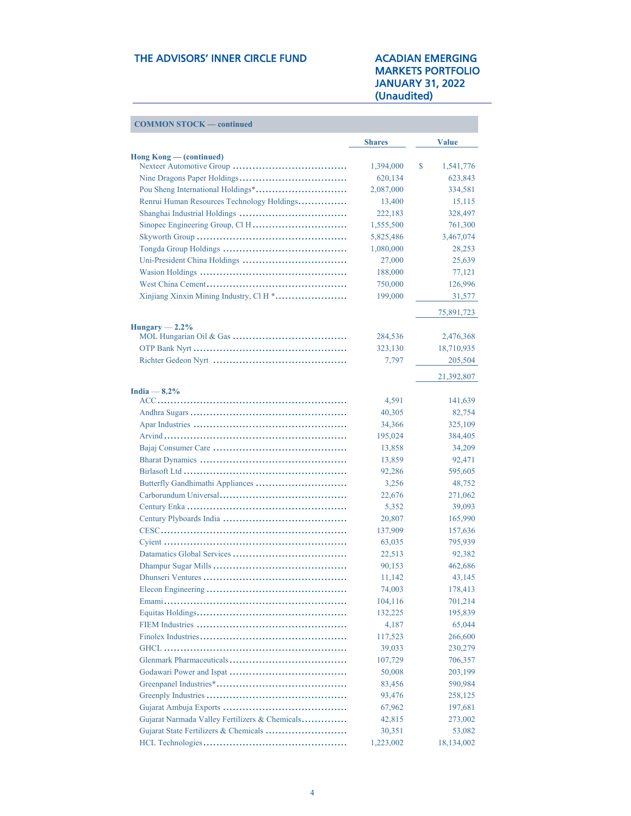| <b>COMMON STOCK — continued</b>                |               |                       |
|------------------------------------------------|---------------|-----------------------|
|                                                | <b>Shares</b> | <b>Value</b>          |
| $\text{Hong Kong}$ $\sim$ (continued)          |               |                       |
|                                                | 1,394,000     | \$<br>1,541,776       |
|                                                | 620,134       | 623,843               |
|                                                | 2,087,000     | 334,581               |
| Renrui Human Resources Technology Holdings     | 13,400        | 15,115                |
|                                                | 222,183       | 328,497               |
|                                                | 1,555,500     | 761,300               |
|                                                | 5,825,486     | 3,467,074             |
|                                                | 1,080,000     | 28,253                |
|                                                | 27,000        | 25,639                |
|                                                | 188,000       | 77,121                |
|                                                | 750,000       | 126,996               |
| Xinjiang Xinxin Mining Industry, Cl H *        | 199,000       | 31,577                |
|                                                |               | 75,891,723            |
| $Hungary - 2.2%$                               | 284,536       | 2,476,368             |
|                                                | 323,130       | 18,710,935            |
|                                                | 7,797         |                       |
|                                                |               | 205,504<br>21,392,807 |
|                                                |               |                       |
| India $-8.2\%$                                 | 4,591         | 141,639               |
|                                                |               |                       |
|                                                | 40,305        | 82,754                |
|                                                | 34,366        | 325,109               |
|                                                | 195,024       | 384,405               |
|                                                | 13,858        | 34,209                |
|                                                | 13,859        | 92,471                |
|                                                | 92,286        | 595,605               |
|                                                | 3,256         | 48,752                |
|                                                | 22,676        | 271,062               |
|                                                | 5,352         | 39,093                |
|                                                | 20,807        | 165,990               |
|                                                | 137,909       | 157,636               |
|                                                | 63,035        | 795,939               |
|                                                | 22,513        | 92,382                |
|                                                | 90,153        | 462,686               |
|                                                | 11,142        | 43,145                |
|                                                | 74,003        | 178,413               |
|                                                | 104,116       | 701,214               |
|                                                | 132,225       | 195,839               |
|                                                | 4,187         | 65,044                |
|                                                | 117,523       | 266,600               |
|                                                | 39,033        | 230,279               |
|                                                | 107,729       | 706,357               |
|                                                | 50,008        | 203,199               |
|                                                | 83,456        | 590,984               |
|                                                | 93,476        | 258,125               |
|                                                | 67,962        | 197,681               |
| Gujarat Narmada Valley Fertilizers & Chemicals | 42,815        | 273,002               |
|                                                | 30,351        | 53,082                |
|                                                | 1,223,002     | 18,134,002            |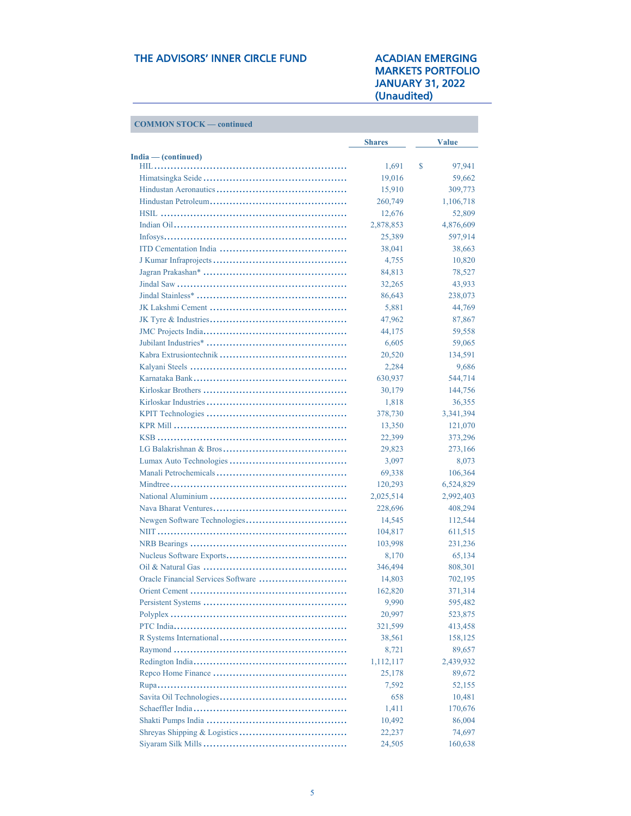| <b>COMMON STOCK</b> | — continued |
|---------------------|-------------|
|---------------------|-------------|

|                     | <b>Shares</b> | <b>Value</b> |
|---------------------|---------------|--------------|
| India — (continued) |               |              |
|                     | 1,691         | \$<br>97,941 |
|                     | 19,016        | 59,662       |
|                     | 15,910        | 309,773      |
|                     | 260,749       | 1,106,718    |
|                     | 12,676        | 52,809       |
|                     | 2,878,853     | 4,876,609    |
|                     | 25,389        | 597,914      |
|                     | 38,041        | 38,663       |
|                     | 4,755         | 10,820       |
|                     | 84,813        | 78,527       |
|                     | 32,265        | 43,933       |
|                     | 86,643        | 238,073      |
|                     | 5,881         | 44,769       |
|                     | 47,962        | 87,867       |
|                     | 44,175        | 59,558       |
|                     | 6,605         | 59,065       |
|                     | 20,520        | 134,591      |
|                     | 2,284         | 9,686        |
|                     |               | 544,714      |
|                     | 630,937       |              |
|                     | 30,179        | 144,756      |
|                     | 1,818         | 36,355       |
|                     | 378,730       | 3,341,394    |
|                     | 13,350        | 121,070      |
|                     | 22,399        | 373,296      |
|                     | 29,823        | 273,166      |
|                     | 3,097         | 8,073        |
|                     | 69,338        | 106,364      |
|                     | 120,293       | 6,524,829    |
|                     | 2,025,514     | 2,992,403    |
|                     | 228,696       | 408,294      |
|                     | 14,545        | 112,544      |
|                     | 104,817       | 611,515      |
|                     | 103,998       | 231,236      |
|                     | 8,170         | 65,134       |
|                     | 346,494       | 808,301      |
|                     | 14,803        | 702,195      |
|                     | 162,820       | 371,314      |
|                     | 9,990         | 595,482      |
|                     | 20,997        | 523,875      |
|                     | 321,599       | 413,458      |
|                     | 38,561        | 158,125      |
|                     | 8,721         | 89,657       |
|                     | 1,112,117     | 2,439,932    |
|                     | 25,178        | 89,672       |
|                     | 7,592         | 52,155       |
|                     | 658           | 10,481       |
|                     |               |              |
|                     | 1,411         | 170,676      |
|                     | 10,492        | 86,004       |
|                     | 22,237        | 74,697       |
|                     | 24,505        | 160,638      |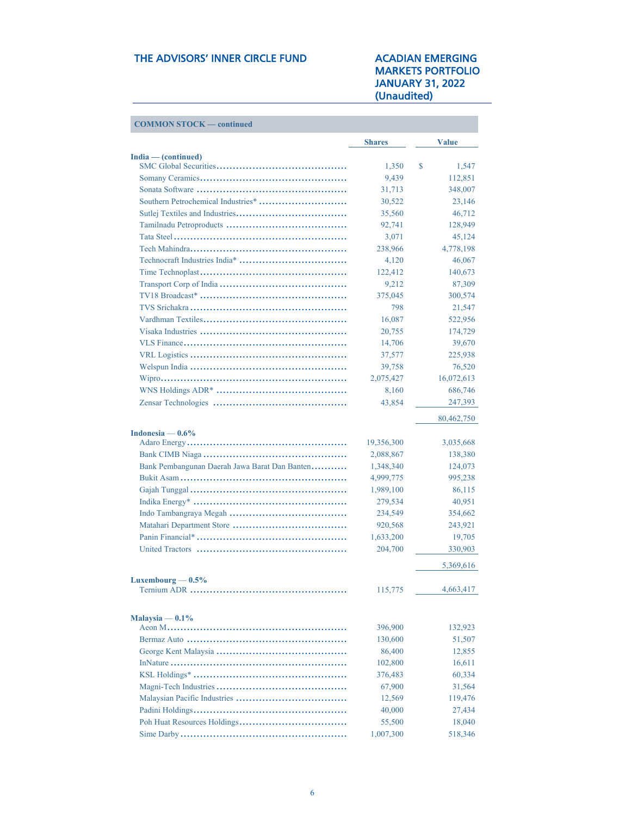| <b>COMMON STOCK — continued</b>               |               |              |
|-----------------------------------------------|---------------|--------------|
|                                               | <b>Shares</b> | <b>Value</b> |
| $India$ – (continued)                         |               |              |
|                                               | 1,350         | \$<br>1,547  |
|                                               | 9,439         | 112,851      |
|                                               | 31,713        | 348,007      |
|                                               | 30,522        | 23,146       |
|                                               | 35,560        | 46,712       |
|                                               | 92,741        | 128,949      |
|                                               | 3,071         | 45,124       |
|                                               | 238,966       | 4,778,198    |
|                                               | 4,120         | 46,067       |
|                                               | 122,412       | 140,673      |
|                                               | 9,212         | 87,309       |
|                                               | 375,045       | 300,574      |
|                                               | 798           | 21,547       |
|                                               | 16,087        | 522,956      |
|                                               | 20,755        | 174,729      |
|                                               | 14,706        | 39,670       |
|                                               | 37,577        | 225,938      |
|                                               | 39,758        | 76,520       |
|                                               | 2,075,427     | 16,072,613   |
|                                               | 8,160         | 686,746      |
|                                               | 43,854        | 247,393      |
|                                               |               | 80,462,750   |
| Indonesia — $0.6\%$                           |               |              |
|                                               | 19,356,300    | 3,035,668    |
|                                               | 2,088,867     | 138,380      |
| Bank Pembangunan Daerah Jawa Barat Dan Banten | 1,348,340     | 124,073      |
|                                               | 4,999,775     | 995,238      |
|                                               | 1,989,100     | 86,115       |
|                                               | 279,534       | 40,951       |
|                                               | 234,549       | 354,662      |
|                                               | 920,568       | 243,921      |
|                                               | 1,633,200     | 19,705       |
|                                               | 204,700       | 330,903      |
|                                               |               | 5,369,616    |
| Luxembourg $-0.5\%$                           |               |              |
|                                               | 115,775       | 4,663,417    |
| Malaysia $-0.1\%$                             |               |              |
|                                               | 396,900       | 132,923      |
|                                               | 130,600       | 51,507       |
|                                               | 86,400        | 12,855       |
|                                               | 102,800       | 16,611       |
|                                               | 376,483       | 60,334       |
|                                               | 67,900        | 31,564       |
|                                               | 12,569        | 119,476      |
|                                               | 40,000        | 27,434       |
|                                               | 55,500        | 18,040       |
|                                               | 1,007,300     | 518,346      |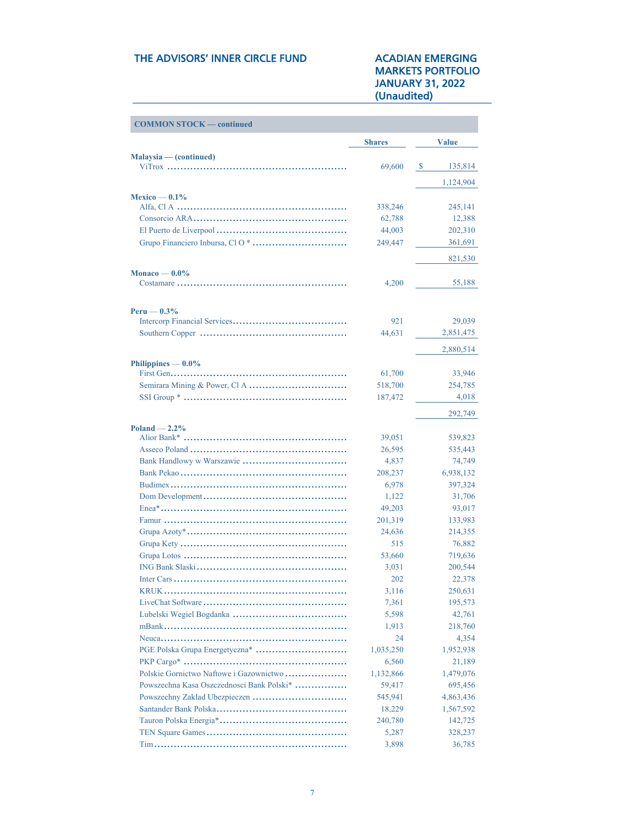# MARKETS PORTFOLIO JANUARY 31, 2022

| <b>COMMON STOCK — continued</b>           |               |                   |
|-------------------------------------------|---------------|-------------------|
|                                           | <b>Shares</b> | <b>Value</b>      |
| Malaysia — (continued)                    |               |                   |
|                                           | 69,600        | 135,814<br>-S     |
|                                           |               | 1,124,904         |
|                                           |               |                   |
| Mexico — $0.1\%$                          | 338,246       | 245,141           |
|                                           | 62,788        | 12,388            |
|                                           | 44,003        | 202,310           |
|                                           | 249,447       | 361,691           |
|                                           |               |                   |
|                                           |               | 821,530           |
| Monaco — $0.0\%$                          | 4,200         | 55,188            |
|                                           |               |                   |
| Peru — $0.3\%$                            |               |                   |
|                                           | 921           | 29,039            |
|                                           | 44,631        | 2,851,475         |
|                                           |               | 2,880,514         |
| Philippines $-0.0\%$                      |               |                   |
|                                           | 61,700        | 33,946            |
|                                           | 518,700       | 254,785           |
|                                           | 187,472       | 4,018             |
|                                           |               | 292,749           |
| $Poland - 2.2\%$                          |               |                   |
|                                           | 39,051        | 539,823           |
|                                           | 26,595        | 535,443           |
|                                           | 4,837         | 74,749            |
|                                           | 208,237       | 6,938,132         |
|                                           | 6,978         | 397,324           |
|                                           | 1,122         | 31,706            |
|                                           | 49,203        | 93,017            |
|                                           | 201,319       | 133,983           |
|                                           | 24,636        | 214,355           |
|                                           | 515           | 76,882            |
|                                           | 53,660        | 719,636           |
|                                           | 3,031         | 200,544           |
|                                           | 202<br>3,116  | 22,378<br>250,631 |
|                                           | 7,361         | 195,573           |
|                                           | 5,598         | 42,761            |
|                                           | 1,913         | 218,760           |
|                                           | 24            | 4,354             |
|                                           | 1,035,250     | 1,952,938         |
|                                           | 6,560         | 21,189            |
| Polskie Gornictwo Naftowe i Gazownictwo   | 1,132,866     | 1,479,076         |
| Powszechna Kasa Oszczednosci Bank Polski* | 59,417        | 695,456           |
|                                           | 545,941       | 4,863,436         |
|                                           | 18,229        | 1,567,592         |
|                                           | 240,780       | 142,725           |
|                                           | 5,287         | 328,237           |
|                                           | 3,898         | 36,785            |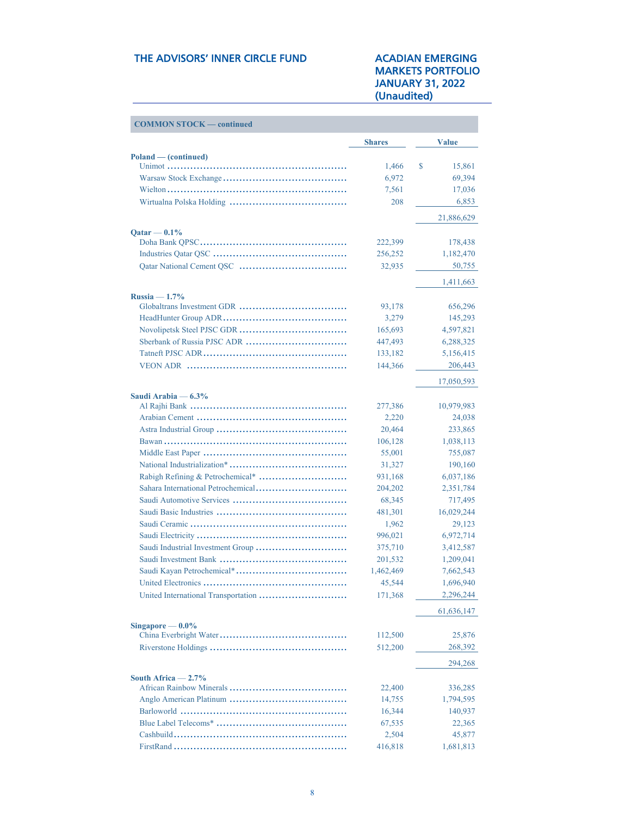| <b>COMMON STOCK — continued</b> |               |              |
|---------------------------------|---------------|--------------|
|                                 | <b>Shares</b> | <b>Value</b> |
| Poland — (continued)            |               |              |
|                                 | 1,466         | S<br>15,861  |
|                                 | 6,972         | 69,394       |
|                                 | 7,561         | 17,036       |
|                                 | 208           | 6,853        |
|                                 |               | 21,886,629   |
| $Qatar - 0.1\%$                 |               |              |
|                                 | 222,399       | 178,438      |
|                                 | 256,252       | 1,182,470    |
|                                 | 32,935        | 50,755       |
|                                 |               | 1,411,663    |
| $Russia - 1.7%$                 |               |              |
|                                 | 93,178        | 656,296      |
|                                 | 3,279         | 145,293      |
|                                 | 165,693       | 4,597,821    |
|                                 | 447,493       | 6,288,325    |
|                                 | 133,182       | 5,156,415    |
|                                 | 144,366       | 206,443      |
|                                 |               | 17,050,593   |
| Saudi Arabia — 6.3%             |               |              |
|                                 | 277,386       | 10,979,983   |
|                                 | 2,220         | 24,038       |
|                                 | 20,464        | 233,865      |
|                                 | 106,128       | 1,038,113    |
|                                 | 55,001        | 755,087      |
|                                 | 31,327        | 190,160      |
|                                 | 931,168       | 6,037,186    |
|                                 | 204,202       | 2,351,784    |
|                                 | 68,345        | 717,495      |
|                                 | 481,301       | 16,029,244   |
|                                 | 1,962         | 29,123       |
|                                 | 996,021       | 6,972,714    |
|                                 | 375,710       | 3,412,587    |
|                                 | 201,532       | 1,209,041    |
|                                 | 1,462,469     | 7,662,543    |
| United Electronics.             | 45,544        | 1,696,940    |
|                                 | 171,368       | 2,296,244    |
|                                 |               | 61,636,147   |
| Singapore $-0.0\%$              |               |              |
|                                 | 112,500       | 25,876       |
|                                 | 512,200       | 268,392      |
|                                 |               | 294,268      |
| South Africa $-2.7\%$           |               |              |
|                                 | 22,400        | 336,285      |
|                                 | 14,755        | 1,794,595    |
|                                 | 16,344        | 140,937      |
|                                 | 67,535        | 22,365       |
|                                 | 2,504         | 45,877       |
|                                 | 416,818       | 1,681,813    |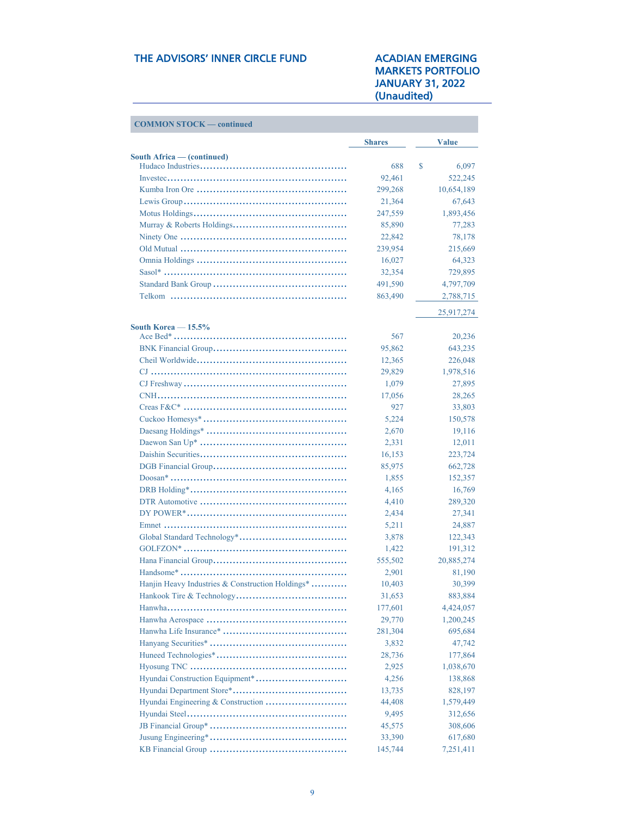| <b>COMMON STOCK — continued</b>                  |               |              |
|--------------------------------------------------|---------------|--------------|
|                                                  | <b>Shares</b> | <b>Value</b> |
| South Africa - (continued)                       |               |              |
|                                                  | 688           | \$<br>6,097  |
|                                                  | 92,461        | 522,245      |
|                                                  | 299,268       | 10,654,189   |
|                                                  | 21,364        | 67,643       |
|                                                  | 247,559       | 1,893,456    |
|                                                  | 85,890        | 77,283       |
|                                                  | 22,842        | 78,178       |
|                                                  | 239,954       | 215,669      |
|                                                  | 16,027        | 64,323       |
|                                                  | 32,354        | 729,895      |
|                                                  | 491,590       | 4,797,709    |
|                                                  | 863,490       | 2,788,715    |
|                                                  |               | 25,917,274   |
| South Korea - 15.5%                              | 567           | 20,236       |
|                                                  | 95,862        | 643,235      |
|                                                  | 12,365        | 226,048      |
|                                                  |               |              |
|                                                  | 29,829        | 1,978,516    |
|                                                  | 1,079         | 27,895       |
|                                                  | 17,056        | 28,265       |
|                                                  | 927           | 33,803       |
|                                                  | 5,224         | 150,578      |
|                                                  | 2,670         | 19,116       |
|                                                  | 2,331         | 12,011       |
|                                                  | 16,153        | 223,724      |
|                                                  | 85,975        | 662,728      |
|                                                  | 1,855         | 152,357      |
|                                                  | 4,165         | 16,769       |
|                                                  | 4,410         | 289,320      |
|                                                  | 2,434         | 27,341       |
|                                                  | 5,211         | 24,887       |
|                                                  | 3,878         | 122,343      |
|                                                  | 1,422         | 191,312      |
|                                                  | 555,502       | 20,885,274   |
|                                                  | 2,901         | 81,190       |
| Hanjin Heavy Industries & Construction Holdings* | 10,403        | 30,399       |
|                                                  | 31,653        | 883,884      |
|                                                  | 177,601       | 4,424,057    |
|                                                  | 29,770        | 1,200,245    |
|                                                  | 281,304       | 695,684      |
|                                                  | 3,832         | 47,742       |
|                                                  | 28,736        | 177,864      |
|                                                  | 2,925         | 1,038,670    |
|                                                  | 4,256         | 138,868      |
|                                                  | 13,735        | 828,197      |
|                                                  | 44,408        | 1,579,449    |
|                                                  | 9,495         | 312,656      |
|                                                  | 45,575        | 308,606      |
|                                                  | 33,390        | 617,680      |
|                                                  | 145,744       | 7,251,411    |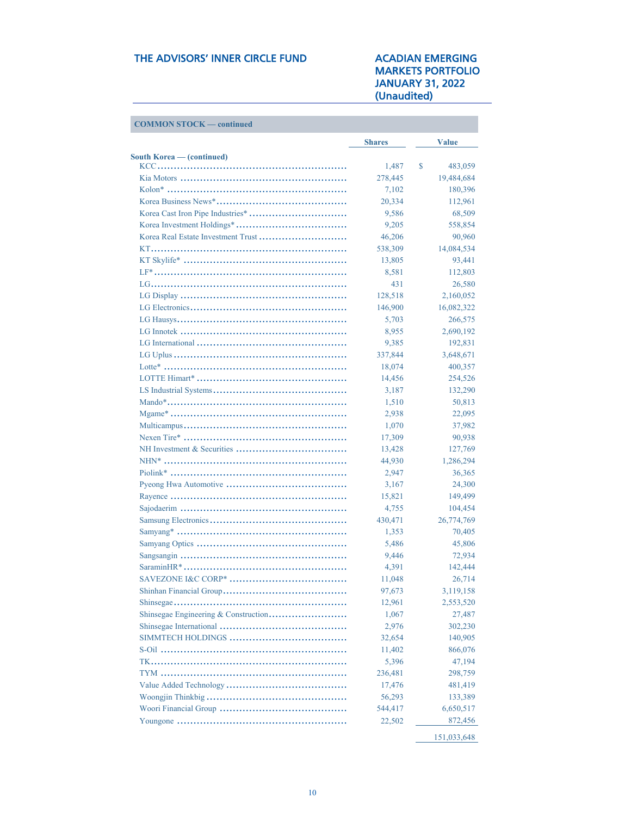| <b>COMMON STOCK — continued</b>  |               |               |
|----------------------------------|---------------|---------------|
|                                  | <b>Shares</b> | <b>Value</b>  |
| <b>South Korea</b> - (continued) |               |               |
|                                  | 1,487         | \$<br>483,059 |
|                                  | 278,445       | 19,484,684    |
|                                  | 7,102         | 180,396       |
|                                  | 20,334        | 112,961       |
|                                  | 9,586         | 68,509        |
|                                  | 9,205         | 558,854       |
|                                  | 46,206        | 90,960        |
|                                  | 538,309       | 14,084,534    |
|                                  | 13,805        | 93,441        |
|                                  | 8,581         | 112,803       |
|                                  | 431           | 26,580        |
|                                  | 128,518       | 2,160,052     |
|                                  | 146,900       | 16,082,322    |
|                                  | 5,703         | 266,575       |
|                                  | 8,955         | 2,690,192     |
|                                  | 9,385         | 192,831       |
|                                  | 337,844       | 3,648,671     |
|                                  | 18,074        | 400,357       |
|                                  | 14,456        | 254,526       |
|                                  | 3,187         | 132,290       |
|                                  | 1,510         | 50,813        |
|                                  | 2,938         | 22,095        |
|                                  | 1,070         | 37,982        |
|                                  | 17,309        | 90,938        |
|                                  | 13,428        | 127,769       |
|                                  | 44,930        | 1,286,294     |
|                                  | 2,947         | 36,365        |
|                                  | 3,167         | 24,300        |
|                                  | 15,821        | 149,499       |
|                                  | 4,755         | 104,454       |
|                                  | 430,471       | 26,774,769    |
|                                  | 1,353         | 70,405        |
|                                  | 5,486         | 45,806        |
|                                  | 9,446         | 72,934        |
|                                  | 4,391         | 142,444       |
| <b>SAVEZONE I&amp;C CORP*</b>    | 11,048        | 26,714        |
|                                  | 97,673        | 3,119,158     |
|                                  | 12,961        | 2,553,520     |
|                                  | 1,067         | 27,487        |
|                                  | 2,976         | 302,230       |
|                                  | 32,654        | 140,905       |
|                                  | 11,402        | 866,076       |
|                                  | 5,396         | 47,194        |
|                                  | 236,481       |               |
|                                  | 17,476        | 298,759       |
|                                  |               | 481,419       |
|                                  | 56,293        | 133,389       |
|                                  | 544,417       | 6,650,517     |
|                                  | 22,502        | 872,456       |
|                                  |               | 151,033,648   |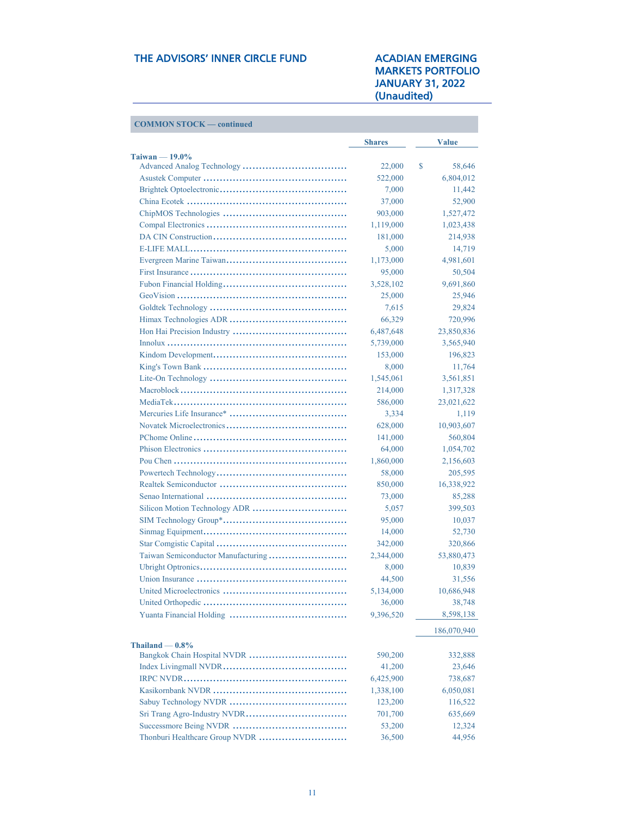**COMMON STOCK — continued** 

|                                    | <b>Shares</b> | <b>Value</b> |
|------------------------------------|---------------|--------------|
| Taiwan $-19.0\%$                   | 22,000        | \$<br>58,646 |
|                                    | 522,000       | 6,804,012    |
|                                    | 7,000         | 11,442       |
|                                    | 37,000        | 52,900       |
|                                    | 903,000       | 1,527,472    |
|                                    | 1,119,000     | 1,023,438    |
|                                    | 181,000       | 214,938      |
|                                    | 5,000         | 14,719       |
|                                    | 1,173,000     | 4,981,601    |
|                                    |               | 50,504       |
|                                    | 95,000        |              |
|                                    | 3,528,102     | 9,691,860    |
|                                    | 25,000        | 25,946       |
|                                    | 7,615         | 29,824       |
|                                    | 66,329        | 720,996      |
|                                    | 6,487,648     | 23,850,836   |
|                                    | 5,739,000     | 3,565,940    |
|                                    | 153,000       | 196,823      |
|                                    | 8,000         | 11,764       |
|                                    | 1,545,061     | 3,561,851    |
|                                    | 214,000       | 1,317,328    |
|                                    | 586,000       | 23,021,622   |
|                                    | 3,334         | 1,119        |
|                                    | 628,000       | 10,903,607   |
|                                    | 141,000       | 560,804      |
|                                    | 64,000        | 1,054,702    |
|                                    | 1,860,000     | 2,156,603    |
|                                    | 58,000        | 205,595      |
|                                    | 850,000       | 16,338,922   |
|                                    | 73,000        | 85,288       |
|                                    | 5,057         | 399,503      |
|                                    | 95,000        | 10,037       |
|                                    | 14,000        | 52,730       |
|                                    | 342,000       | 320,866      |
| Taiwan Semiconductor Manufacturing | 2,344,000     | 53,880,473   |
|                                    | 8,000         | 10,839       |
|                                    | 44,500        | 31,556       |
|                                    | 5,134,000     | 10,686,948   |
|                                    | 36,000        | 38,748       |
|                                    | 9,396,520     | 8,598,138    |
|                                    |               | 186,070,940  |
| Thailand $-0.8\%$                  |               |              |
|                                    | 590,200       | 332,888      |
|                                    | 41,200        | 23,646       |
|                                    | 6,425,900     | 738,687      |
|                                    | 1,338,100     | 6,050,081    |
|                                    | 123,200       | 116,522      |
| Sri Trang Agro-Industry NVDR       | 701,700       | 635,669      |
|                                    | 53,200        | 12,324       |
|                                    | 36,500        | 44,956       |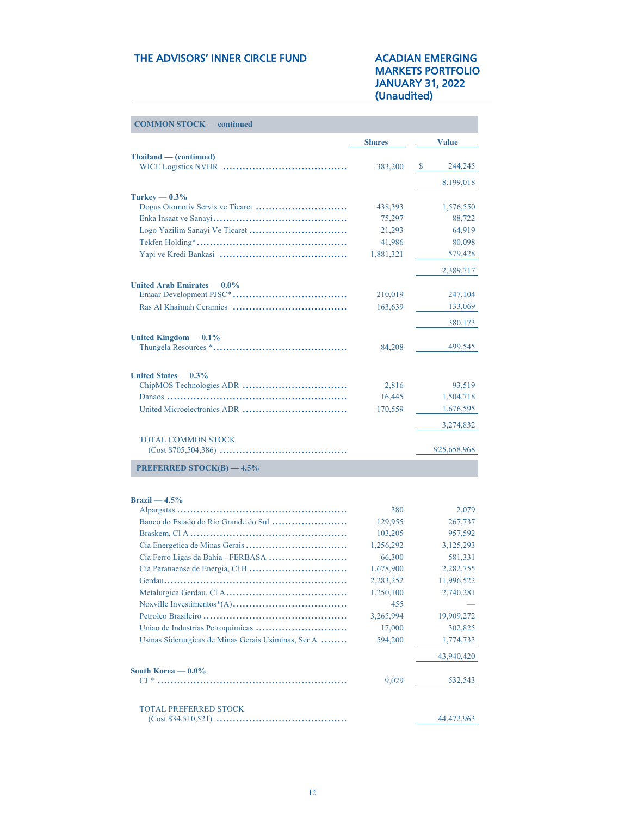| <b>COMMON STOCK — continued</b>                     |                        |                          |
|-----------------------------------------------------|------------------------|--------------------------|
|                                                     | <b>Shares</b>          | <b>Value</b>             |
| Thailand — (continued)                              |                        |                          |
|                                                     | 383,200                | $\mathcal{S}$<br>244,245 |
|                                                     |                        | 8,199,018                |
| Turkey $-0.3\%$                                     |                        |                          |
|                                                     | 438,393                | 1,576,550                |
|                                                     | 75,297                 | 88,722                   |
|                                                     | 21,293                 | 64,919                   |
|                                                     | 41,986                 | 80,098                   |
|                                                     | 1,881,321              | 579,428                  |
|                                                     |                        | 2,389,717                |
| United Arab Emirates $-0.0\%$                       |                        |                          |
|                                                     | 210,019                | 247,104                  |
|                                                     | 163,639                | 133,069                  |
|                                                     |                        | 380,173                  |
| United Kingdom $-0.1\%$                             |                        |                          |
|                                                     | 84,208                 | 499,545                  |
|                                                     |                        |                          |
| United States $-0.3%$                               | 2,816                  | 93,519                   |
|                                                     | 16,445                 | 1,504,718                |
| United Microelectronics ADR                         | 170,559                | 1,676,595                |
|                                                     |                        |                          |
|                                                     |                        | 3,274,832                |
| TOTAL COMMON STOCK                                  |                        | 925,658,968              |
|                                                     |                        |                          |
| <b>PREFERRED STOCK(B) <math>-4.5\%</math></b>       |                        |                          |
|                                                     |                        |                          |
| $Brazil - 4.5%$                                     | 380                    |                          |
| Banco do Estado do Rio Grande do Sul                |                        | 2,079                    |
|                                                     | 129,955                | 267,737                  |
|                                                     | 103,205<br>1,256,292   | 957,592                  |
|                                                     |                        | 3,125,293                |
|                                                     | 66,300                 | 581,331<br>2,282,755     |
|                                                     | 1,678,900              | 11,996,522               |
|                                                     | 2,283,252<br>1,250,100 |                          |
|                                                     |                        | 2,740,281                |
|                                                     | 455                    |                          |
|                                                     | 3,265,994              | 19,909,272               |
|                                                     | 17,000                 | 302,825                  |
| Usinas Siderurgicas de Minas Gerais Usiminas, Ser A | 594,200                | 1,774,733                |
|                                                     |                        | 43,940,420               |
| South Korea — $0.0\%$                               |                        |                          |
|                                                     | 9,029                  | 532,543                  |
|                                                     |                        |                          |
| <b>TOTAL PREFERRED STOCK</b>                        |                        | 44,472,963               |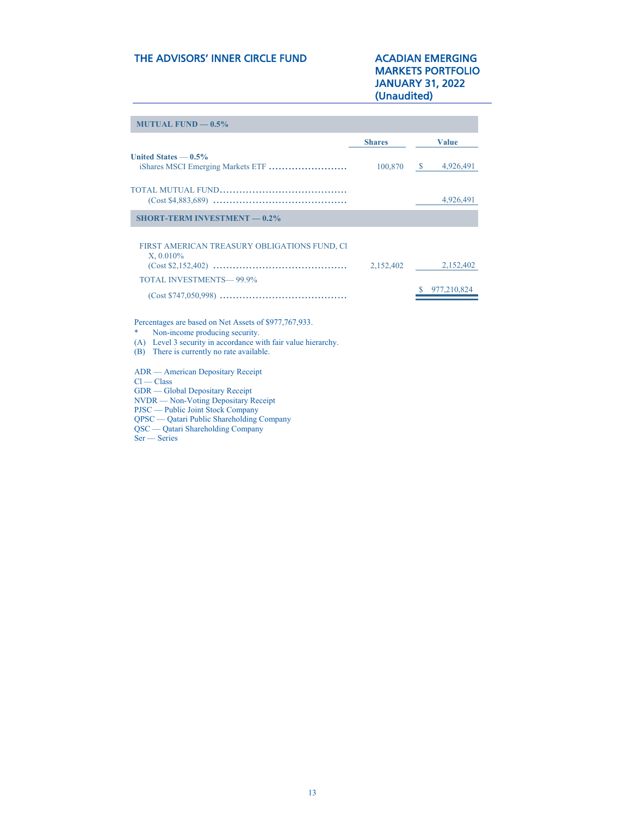## MARKETS PORTFOLIO JANUARY 31, 2022 (Unaudited)

| <b>Shares</b> | <b>Value</b>               |
|---------------|----------------------------|
| 100,870       | $\frac{1}{2}$ 4,926,491    |
|               | 4,926,491                  |
|               |                            |
| 2,152,402     | 2,152,402<br>\$977,210,824 |
|               |                            |

\* Non-income producing security.

(A) Level 3 security in accordance with fair value hierarchy. (B) There is currently no rate available.

ADR — American Depositary Receipt

 $Cl - Class$ 

GDR — Global Depositary Receipt

NVDR — Non-Voting Depositary Receipt

PJSC — Public Joint Stock Company

QPSC — Qatari Public Shareholding Company QSC — Qatari Shareholding Company

Ser — Series